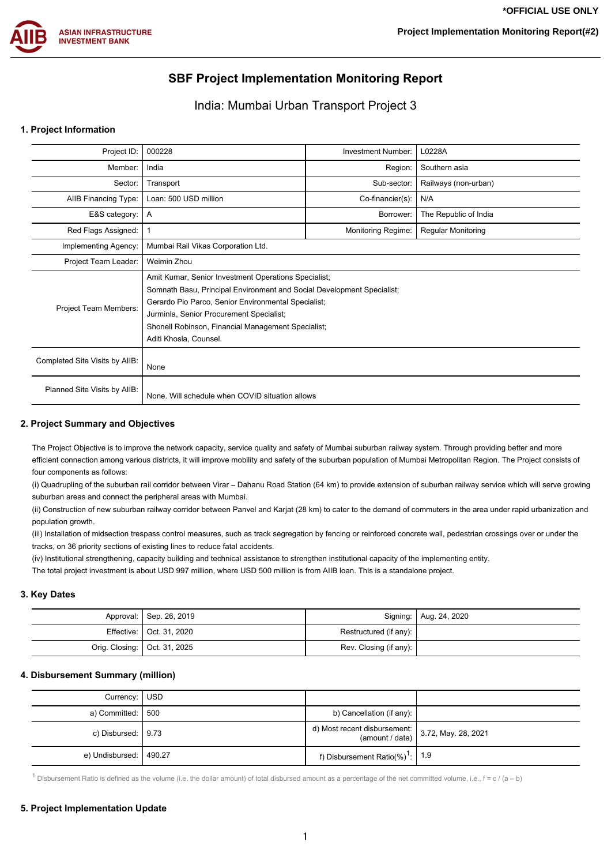

# **SBF Project Implementation Monitoring Report**

# India: Mumbai Urban Transport Project 3

### **1. Project Information**

| Project ID:                    | 000228                                                                                                                                                                                                                                                                                                            | Investment Number: | L0228A                    |  |  |  |
|--------------------------------|-------------------------------------------------------------------------------------------------------------------------------------------------------------------------------------------------------------------------------------------------------------------------------------------------------------------|--------------------|---------------------------|--|--|--|
| Member:                        | India                                                                                                                                                                                                                                                                                                             | Region:            | Southern asia             |  |  |  |
| Sector:                        | Transport                                                                                                                                                                                                                                                                                                         | Sub-sector:        | Railways (non-urban)      |  |  |  |
| AIIB Financing Type:           | Loan: 500 USD million                                                                                                                                                                                                                                                                                             | Co-financier(s):   | N/A                       |  |  |  |
| E&S category:                  | A                                                                                                                                                                                                                                                                                                                 | Borrower:          | The Republic of India     |  |  |  |
| Red Flags Assigned:            |                                                                                                                                                                                                                                                                                                                   | Monitoring Regime: | <b>Regular Monitoring</b> |  |  |  |
| Implementing Agency:           | Mumbai Rail Vikas Corporation Ltd.                                                                                                                                                                                                                                                                                |                    |                           |  |  |  |
| Project Team Leader:           | Weimin Zhou                                                                                                                                                                                                                                                                                                       |                    |                           |  |  |  |
| Project Team Members:          | Amit Kumar, Senior Investment Operations Specialist;<br>Somnath Basu, Principal Environment and Social Development Specialist;<br>Gerardo Pio Parco, Senior Environmental Specialist;<br>Jurminla, Senior Procurement Specialist;<br>Shonell Robinson, Financial Management Specialist;<br>Aditi Khosla, Counsel. |                    |                           |  |  |  |
| Completed Site Visits by AIIB: | None                                                                                                                                                                                                                                                                                                              |                    |                           |  |  |  |
| Planned Site Visits by AIIB:   | None. Will schedule when COVID situation allows                                                                                                                                                                                                                                                                   |                    |                           |  |  |  |

#### **2. Project Summary and Objectives**

The Project Objective is to improve the network capacity, service quality and safety of Mumbai suburban railway system. Through providing better and more efficient connection among various districts, it will improve mobility and safety of the suburban population of Mumbai Metropolitan Region. The Project consists of four components as follows:

(i) Quadrupling of the suburban rail corridor between Virar – Dahanu Road Station (64 km) to provide extension of suburban railway service which will serve growing suburban areas and connect the peripheral areas with Mumbai.

(ii) Construction of new suburban railway corridor between Panvel and Karjat (28 km) to cater to the demand of commuters in the area under rapid urbanization and population growth.

(iii) Installation of midsection trespass control measures, such as track segregation by fencing or reinforced concrete wall, pedestrian crossings over or under the tracks, on 36 priority sections of existing lines to reduce fatal accidents.

(iv) Institutional strengthening, capacity building and technical assistance to strengthen institutional capacity of the implementing entity.

The total project investment is about USD 997 million, where USD 500 million is from AIIB loan. This is a standalone project.

## **3. Key Dates**

| Approval:   Sep. 26, 2019      |                        | Signing:   Aug. 24, 2020 |
|--------------------------------|------------------------|--------------------------|
| Effective:   Oct. 31, 2020     | Restructured (if any): |                          |
| Orig. Closing:   Oct. 31, 2025 | Rev. Closing (if any): |                          |

#### **4. Disbursement Summary (million)**

| Currency: USD              |                                                                                          |  |
|----------------------------|------------------------------------------------------------------------------------------|--|
| a) Committed: $\vert$ 500  | b) Cancellation (if any):                                                                |  |
| c) Disbursed: $\vert$ 9.73 | d) Most recent disbursement: $\begin{bmatrix} 3.72, \text{May. } 28, 2021 \end{bmatrix}$ |  |
| e) Undisbursed:   490.27   | f) Disbursement Ratio(%) <sup>1</sup> : $\mid$ 1.9                                       |  |

<sup>1</sup> Disbursement Ratio is defined as the volume (i.e. the dollar amount) of total disbursed amount as a percentage of the net committed volume, i.e.,  $f = c / (a - b)$ 

# **5. Project Implementation Update**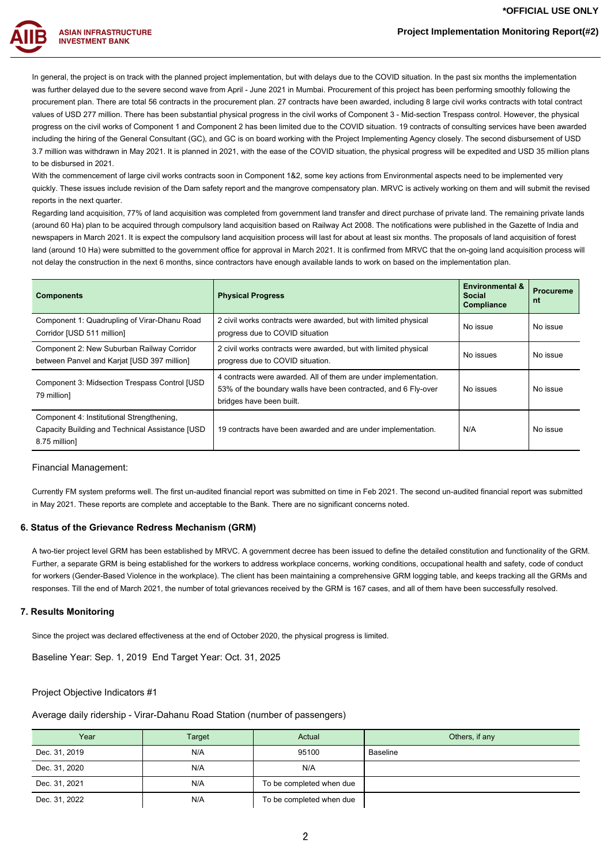# **Project Implementation Monitoring Report(#2)**

**ASIAN INFRASTRUCTURE INVESTMENT BANK** 

> In general, the project is on track with the planned project implementation, but with delays due to the COVID situation. In the past six months the implementation was further delayed due to the severe second wave from April - June 2021 in Mumbai. Procurement of this project has been performing smoothly following the procurement plan. There are total 56 contracts in the procurement plan. 27 contracts have been awarded, including 8 large civil works contracts with total contract values of USD 277 million. There has been substantial physical progress in the civil works of Component 3 - Mid-section Trespass control. However, the physical progress on the civil works of Component 1 and Component 2 has been limited due to the COVID situation. 19 contracts of consulting services have been awarded including the hiring of the General Consultant (GC), and GC is on board working with the Project Implementing Agency closely. The second disbursement of USD 3.7 million was withdrawn in May 2021. It is planned in 2021, with the ease of the COVID situation, the physical progress will be expedited and USD 35 million plans to be disbursed in 2021.

> With the commencement of large civil works contracts soon in Component 1&2, some key actions from Environmental aspects need to be implemented very quickly. These issues include revision of the Dam safety report and the mangrove compensatory plan. MRVC is actively working on them and will submit the revised reports in the next quarter.

> Regarding land acquisition, 77% of land acquisition was completed from government land transfer and direct purchase of private land. The remaining private lands (around 60 Ha) plan to be acquired through compulsory land acquisition based on Railway Act 2008. The notifications were published in the Gazette of India and newspapers in March 2021. It is expect the compulsory land acquisition process will last for about at least six months. The proposals of land acquisition of forest land (around 10 Ha) were submitted to the government office for approval in March 2021. It is confirmed from MRVC that the on-going land acquisition process will not delay the construction in the next 6 months, since contractors have enough available lands to work on based on the implementation plan.

| <b>Components</b>                                                                                             | <b>Physical Progress</b>                                                                                                                                      | <b>Environmental &amp;</b><br><b>Social</b><br>Compliance | <b>Procureme</b><br>nt |
|---------------------------------------------------------------------------------------------------------------|---------------------------------------------------------------------------------------------------------------------------------------------------------------|-----------------------------------------------------------|------------------------|
| Component 1: Quadrupling of Virar-Dhanu Road<br>Corridor [USD 511 million]                                    | 2 civil works contracts were awarded, but with limited physical<br>progress due to COVID situation                                                            | No issue                                                  | No issue               |
| Component 2: New Suburban Railway Corridor<br>between Panvel and Karjat [USD 397 million]                     | 2 civil works contracts were awarded, but with limited physical<br>progress due to COVID situation.                                                           | No issues                                                 | No issue               |
| Component 3: Midsection Trespass Control [USD]<br>79 million]                                                 | 4 contracts were awarded. All of them are under implementation.<br>53% of the boundary walls have been contracted, and 6 Fly-over<br>bridges have been built. | No issues                                                 | No issue               |
| Component 4: Institutional Strengthening,<br>Capacity Building and Technical Assistance [USD<br>8.75 million] | 19 contracts have been awarded and are under implementation.                                                                                                  | N/A                                                       | No issue               |

#### Financial Management:

Currently FM system preforms well. The first un-audited financial report was submitted on time in Feb 2021. The second un-audited financial report was submitted in May 2021. These reports are complete and acceptable to the Bank. There are no significant concerns noted.

#### **6. Status of the Grievance Redress Mechanism (GRM)**

A two-tier project level GRM has been established by MRVC. A government decree has been issued to define the detailed constitution and functionality of the GRM. Further, a separate GRM is being established for the workers to address workplace concerns, working conditions, occupational health and safety, code of conduct for workers (Gender-Based Violence in the workplace). The client has been maintaining a comprehensive GRM logging table, and keeps tracking all the GRMs and responses. Till the end of March 2021, the number of total grievances received by the GRM is 167 cases, and all of them have been successfully resolved.

#### **7. Results Monitoring**

Since the project was declared effectiveness at the end of October 2020, the physical progress is limited.

Baseline Year: Sep. 1, 2019 End Target Year: Oct. 31, 2025

#### Project Objective Indicators #1

Average daily ridership - Virar-Dahanu Road Station (number of passengers)

| Year          | Target | Actual                   | Others, if any |
|---------------|--------|--------------------------|----------------|
| Dec. 31, 2019 | N/A    | 95100                    | Baseline       |
| Dec. 31, 2020 | N/A    | N/A                      |                |
| Dec. 31, 2021 | N/A    | To be completed when due |                |
| Dec. 31, 2022 | N/A    | To be completed when due |                |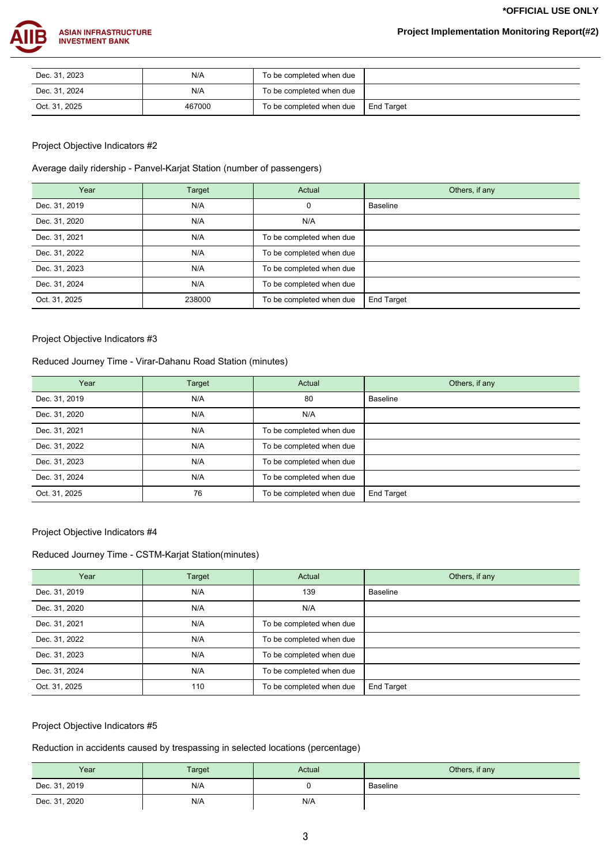**\*OFFICIAL USE ONLY**



| Dec. 31, 2023 | N/A    | To be completed when due |            |
|---------------|--------|--------------------------|------------|
| Dec. 31, 2024 | N/A    | To be completed when due |            |
| Oct. 31, 2025 | 467000 | To be completed when due | End Target |

## Project Objective Indicators #2

Average daily ridership - Panvel-Karjat Station (number of passengers)

| Year          | Target | Actual                   | Others, if any |
|---------------|--------|--------------------------|----------------|
| Dec. 31, 2019 | N/A    | 0                        | Baseline       |
| Dec. 31, 2020 | N/A    | N/A                      |                |
| Dec. 31, 2021 | N/A    | To be completed when due |                |
| Dec. 31, 2022 | N/A    | To be completed when due |                |
| Dec. 31, 2023 | N/A    | To be completed when due |                |
| Dec. 31, 2024 | N/A    | To be completed when due |                |
| Oct. 31, 2025 | 238000 | To be completed when due | End Target     |

## Project Objective Indicators #3

# Reduced Journey Time - Virar-Dahanu Road Station (minutes)

| Year          | Target | Actual                   | Others, if any  |
|---------------|--------|--------------------------|-----------------|
| Dec. 31, 2019 | N/A    | 80                       | <b>Baseline</b> |
| Dec. 31, 2020 | N/A    | N/A                      |                 |
| Dec. 31, 2021 | N/A    | To be completed when due |                 |
| Dec. 31, 2022 | N/A    | To be completed when due |                 |
| Dec. 31, 2023 | N/A    | To be completed when due |                 |
| Dec. 31, 2024 | N/A    | To be completed when due |                 |
| Oct. 31, 2025 | 76     | To be completed when due | End Target      |

## Project Objective Indicators #4

# Reduced Journey Time - CSTM-Karjat Station(minutes)

| Year          | Target | Actual                   | Others, if any |
|---------------|--------|--------------------------|----------------|
| Dec. 31, 2019 | N/A    | 139                      | Baseline       |
| Dec. 31, 2020 | N/A    | N/A                      |                |
| Dec. 31, 2021 | N/A    | To be completed when due |                |
| Dec. 31, 2022 | N/A    | To be completed when due |                |
| Dec. 31, 2023 | N/A    | To be completed when due |                |
| Dec. 31, 2024 | N/A    | To be completed when due |                |
| Oct. 31, 2025 | 110    | To be completed when due | End Target     |

## Project Objective Indicators #5

# Reduction in accidents caused by trespassing in selected locations (percentage)

| Year          | Target | Actual | Others, if any |
|---------------|--------|--------|----------------|
| Dec. 31, 2019 | N/A    |        | Baseline       |
| Dec. 31, 2020 | N/A    | N/A    |                |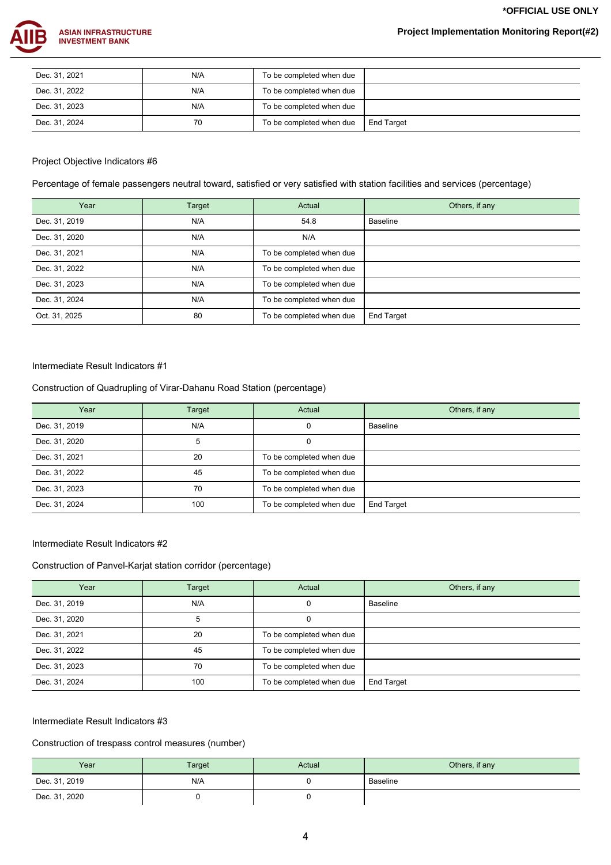**\*OFFICIAL USE ONLY**



| Dec. 31, 2021 | N/A | To be completed when due |                   |
|---------------|-----|--------------------------|-------------------|
| Dec. 31, 2022 | N/A | To be completed when due |                   |
| Dec. 31, 2023 | N/A | To be completed when due |                   |
| Dec. 31, 2024 | 70  | To be completed when due | <b>End Target</b> |

### Project Objective Indicators #6

Percentage of female passengers neutral toward, satisfied or very satisfied with station facilities and services (percentage)

| Year          | Target | Actual                   | Others, if any  |
|---------------|--------|--------------------------|-----------------|
| Dec. 31, 2019 | N/A    | 54.8                     | <b>Baseline</b> |
| Dec. 31, 2020 | N/A    | N/A                      |                 |
| Dec. 31, 2021 | N/A    | To be completed when due |                 |
| Dec. 31, 2022 | N/A    | To be completed when due |                 |
| Dec. 31, 2023 | N/A    | To be completed when due |                 |
| Dec. 31, 2024 | N/A    | To be completed when due |                 |
| Oct. 31, 2025 | 80     | To be completed when due | End Target      |

#### Intermediate Result Indicators #1

## Construction of Quadrupling of Virar-Dahanu Road Station (percentage)

| Year          | Target | Actual                   | Others, if any    |
|---------------|--------|--------------------------|-------------------|
| Dec. 31, 2019 | N/A    |                          | <b>Baseline</b>   |
| Dec. 31, 2020 | 5      |                          |                   |
| Dec. 31, 2021 | 20     | To be completed when due |                   |
| Dec. 31, 2022 | 45     | To be completed when due |                   |
| Dec. 31, 2023 | 70     | To be completed when due |                   |
| Dec. 31, 2024 | 100    | To be completed when due | <b>End Target</b> |

Intermediate Result Indicators #2

# Construction of Panvel-Karjat station corridor (percentage)

| Year          | <b>Target</b> | Actual                   | Others, if any    |
|---------------|---------------|--------------------------|-------------------|
| Dec. 31, 2019 | N/A           |                          | Baseline          |
| Dec. 31, 2020 | 5             |                          |                   |
| Dec. 31, 2021 | 20            | To be completed when due |                   |
| Dec. 31, 2022 | 45            | To be completed when due |                   |
| Dec. 31, 2023 | 70            | To be completed when due |                   |
| Dec. 31, 2024 | 100           | To be completed when due | <b>End Target</b> |

### Intermediate Result Indicators #3

## Construction of trespass control measures (number)

| Year          | Target | Actual | Others, if any |
|---------------|--------|--------|----------------|
| Dec. 31, 2019 | N/A    |        | Baseline       |
| Dec. 31, 2020 |        |        |                |